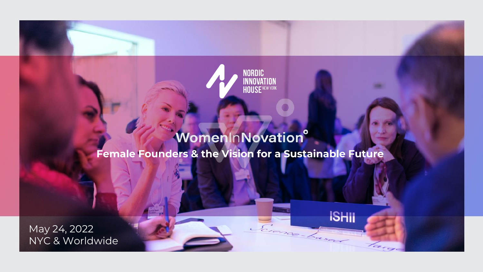

**ISHII** 

Erence-Laser

### WomenInNovation® **Female Founders & the Vision for a Sustainable Future**

May 24, 2022 NYC & Worldwide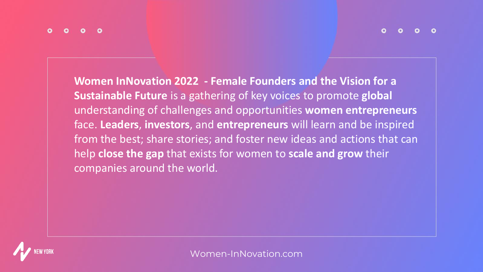**Women InNovation 2022 - Female Founders and the Vision for a Sustainable Future** is a gathering of key voices to promote **global** understanding of challenges and opportunities **women entrepreneurs**  face. **Leaders**, **investors**, and **entrepreneurs** will learn and be inspired from the best; share stories; and foster new ideas and actions that can help **close the gap** that exists for women to **scale and grow** their companies around the world.

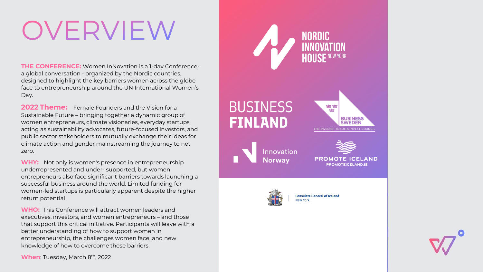# OVERVIEW

**THE CONFERENCE:** Women InNovation is a 1-day Conferencea global conversation - organized by the Nordic countries, designed to highlight the key barriers women across the globe face to entrepreneurship around the UN International Women's Day.

**2022 Theme:** Female Founders and the Vision for a Sustainable Future – bringing together a dynamic group of women entrepreneurs, climate visionaries, everyday startups acting as sustainability advocates, future-focused investors, and public sector stakeholders to mutually exchange their ideas for climate action and gender mainstreaming the journey to net zero.

**WHY:** Not only is women's presence in entrepreneurship underrepresented and under- supported, but women entrepreneurs also face significant barriers towards launching a successful business around the world. Limited funding for women-led startups is particularly apparent despite the higher return potential

**WHO:** This Conference will attract women leaders and executives, investors, and women entrepreneurs – and those that support this critical initiative. Participants will leave with a better understanding of how to support women in entrepreneurship, the challenges women face, and new knowledge of how to overcome these barriers.

When: Tuesday, March 8<sup>th</sup>, 2022



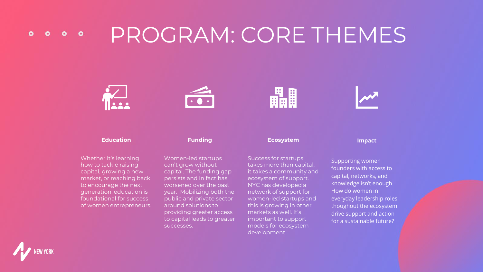#### PROGRAM: CORE THEMES  $0<sub>o</sub>$  $\bullet$



how to tackle raising capital, growing a new market, or reaching back to encourage the next generation, education is foundational for success of women entrepreneurs. Women-led startups can't grow without capital. The funding gap persists and in fact has worsened over the past year. Mobilizing both the public and private sector around solutions to providing greater access to capital leads to greater successes.

takes more than capital; it takes a community and ecosystem of support. NYC has developed a network of support for women-led startups and this is growing in other markets as well. It's important to support models for ecosystem development .

Supporting women founders with access to capital, networks, and knowledge isn't enough. How do women in everyday leadership roles thoughout the ecosystem drive support and action for a sustainable future?



 $\bullet$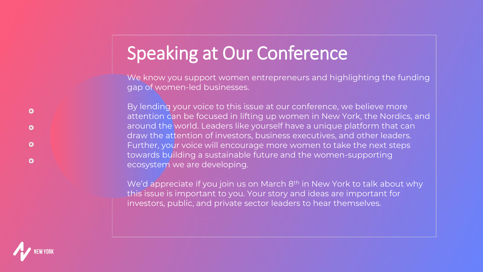### Speaking at Our Conference

We know you support women entrepreneurs and highlighting the funding gap of women-led businesses.

By lending your voice to this issue at our conference, we believe more attention can be focused in lifting up women in New York, the Nordics, and around the world. Leaders like yourself have a unique platform that can draw the attention of investors, business executives, and other leaders. Further, your voice will encourage more women to take the next steps towards building a sustainable future and the women-supporting ecosystem we are developing.

We'd appreciate if you join us on March 8<sup>th</sup> in New York to talk about why this issue is important to you. Your story and ideas are important for investors, public, and private sector leaders to hear themselves.



 $\bullet$ 

 $\bullet$ 

 $\bullet$ 

 $\bullet$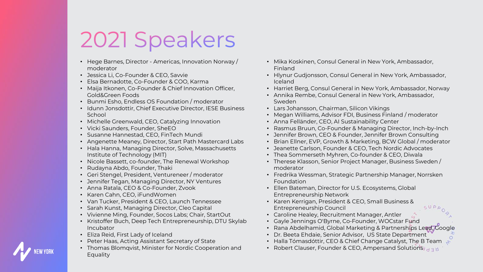## 2021 Speakers

- Hege Barnes, Director Americas, Innovation Norway / moderator
- Jessica Li, Co-Founder & CEO, Savvie
- Elsa Bernadotte, Co-Founder & COO, Karma
- Maija Itkonen, Co-Founder & Chief Innovation Officer, Gold&Green Foods
- Bunmi Esho, Endless OS Foundation / moderator
- Idunn Jonsdottir, Chief Executive Director, IESE Business School
- Michelle Greenwald, CEO, Catalyzing Innovation
- Vicki Saunders, Founder, SheEO
- Susanne Hannestad, CEO, FinTech Mundi
- Angenette Meaney, Director, Start Path Mastercard Labs
- Hala Hanna, Managing Director, Solve, Massachusetts Institute of Technology (MIT)
- Nicole Bassett, co-founder, The Renewal Workshop
- Rudayna Abdo, Founder, Thaki
- Geri Stengel, President, Ventureneer / moderator
- Jennifer Tegan, Managing Director, NY Ventures
- Anna Ratala, CEO & Co-Founder, Zvook
- Karen Cahn, CEO, iFundWomen
- Van Tucker, President & CEO, Launch Tennessee
- Sarah Kunst, Managing Director, Cleo Capital
- Vivienne Ming, Founder, Socos Labs; Chair, StartOut
- Kristoffer Buch, Deep Tech Entrepreneurship, DTU Skylab Incubator
- Eliza Reid, First Lady of Iceland
- Peter Haas, Acting Assistant Secretary of State
- Thomas Blomqvist, Minister for Nordic Cooperation and Equality
- Mika Koskinen, Consul General in New York, Ambassador, Finland
- Hlynur Gudjonsson, Consul General in New York, Ambassador, Iceland
- Harriet Berg, Consul General in New York, Ambassador, Norway
- Annika Rembe, Consul General in New York, Ambassador, Sweden
- Lars Johansson, Chairman, Silicon Vikings
- Megan Williams, Advisor FDI, Business Finland / moderator
- Anna Felländer, CEO, AI Sustainability Center
- Rasmus Bruun, Co-Founder & Managing Director, Inch-by-Inch
- Jennifer Brown, CEO & Founder, Jennifer Brown Consulting
- Brian Ellner, EVP, Growth & Marketing, BCW Global / moderator
- Jeanette Carlson, Founder & CEO, Tech Nordic Advocates
- Thea Sommerseth Myhren, Co-founder & CEO, Diwala
- Therese Klasson, Senior Project Manager, Business Sweden / moderator
- Fredrika Wessman, Strategic Partnership Manager, Norrsken Foundation
- Ellen Bateman, Director for U.S. Ecosystems, Global Entrepreneurship Network
- Karen Kerrigan, President & CEO, Small Business & Entrepreneurship Council
- Caroline Healey, Recruitment Manager, Antler
- Gayle Jennings O'Byrne, Co-Founder, WOCstar Fund
- Rana Abdelhamid, Global Marketing & Partnerships Lead, Google
- Dr. Beeta Ehdaie, Senior Advisor, US State Department
- Halla Tómasdóttir, CEO & Chief Change Catalyst, The B Team
- Robert Clauser, Founder & CEO, Ampersand Solutions

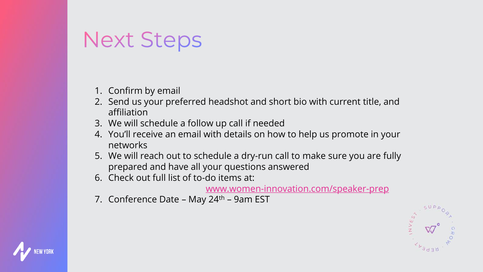### **Next Steps**

- 1. Confirm by email
- 2. Send us your preferred headshot and short bio with current title, and affiliation
- 3. We will schedule a follow up call if needed
- 4. You'll receive an email with details on how to help us promote in your networks
- 5. We will reach out to schedule a dry-run call to make sure you are fully prepared and have all your questions answered
- 6. Check out full list of to-do items at:

[www.women-innovation.com/speaker-prep](http://www.women-innovation.com/speaker-prep)

7. Conference Date – May 24<sup>th</sup> – 9am EST



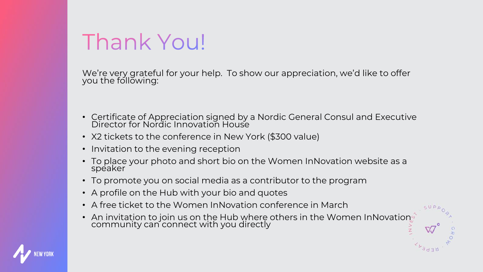### Thank You!

We're very grateful for your help. To show our appreciation, we'd like to offer you the following:

- Certificate of Appreciation signed by a Nordic General Consul and Executive Director for Nordic Innovation House
- X2 tickets to the conference in New York (\$300 value)
- Invitation to the evening reception
- To place your photo and short bio on the Women InNovation website as a speaker
- To promote you on social media as a contributor to the program
- A profile on the Hub with your bio and quotes
- A free ticket to the Women InNovation conference in March
- An invitation to join us on the Hub where others in the Women InNovation community can connect with you directly